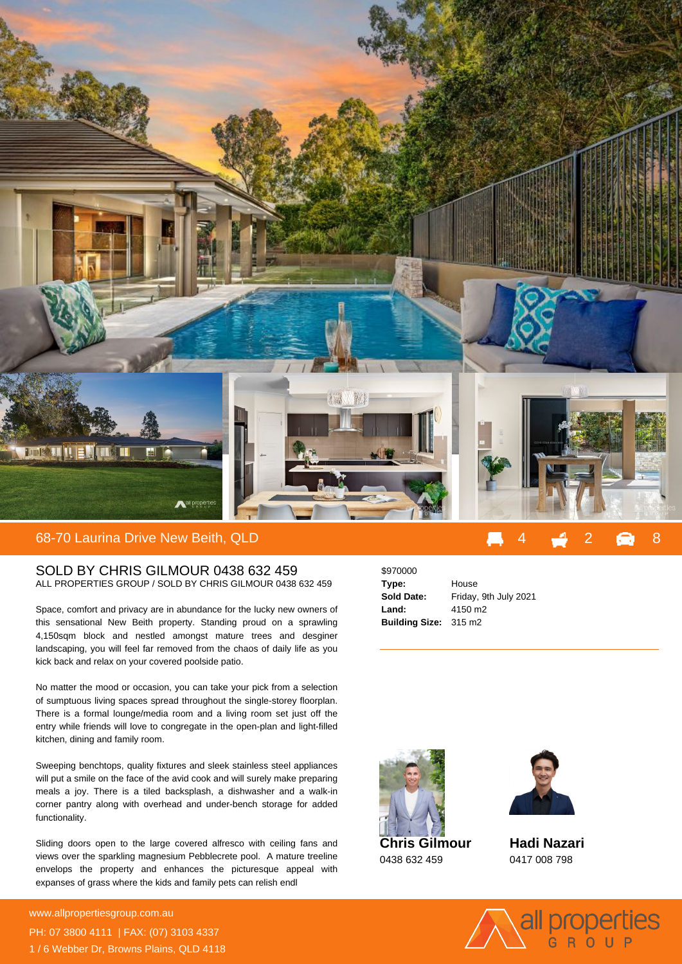

## SOLD BY CHRIS GILMOUR 0438 632 459 ALL PROPERTIES GROUP / SOLD BY CHRIS GILMOUR 0438 632 459

Space, comfort and privacy are in abundance for the lucky new owners of this sensational New Beith property. Standing proud on a sprawling 4,150sqm block and nestled amongst mature trees and desginer landscaping, you will feel far removed from the chaos of daily life as you kick back and relax on your covered poolside patio.

No matter the mood or occasion, you can take your pick from a selection of sumptuous living spaces spread throughout the single-storey floorplan. There is a formal lounge/media room and a living room set just off the entry while friends will love to congregate in the open-plan and light-filled kitchen, dining and family room.

Sweeping benchtops, quality fixtures and sleek stainless steel appliances will put a smile on the face of the avid cook and will surely make preparing meals a joy. There is a tiled backsplash, a dishwasher and a walk-in corner pantry along with overhead and under-bench storage for added functionality.

Sliding doors open to the large covered alfresco with ceiling fans and views over the sparkling magnesium Pebblecrete pool. A mature treeline envelops the property and enhances the picturesque appeal with expanses of grass where the kids and family pets can relish endl

**For more details please visit https://www.allpropertiesgroup.com.au/6516040** www.allpropertiesgroup.com.au PH: 07 3800 4111 | FAX: (07) 3103 4337 1 / 6 Webber Dr, Browns Plains, QLD 4118

| \$970000              |                       |
|-----------------------|-----------------------|
| Type:                 | House                 |
| <b>Sold Date:</b>     | Friday, 9th July 2021 |
| Land:                 | 4150 m <sub>2</sub>   |
| Building Size: 315 m2 |                       |



0438 632 459



**Hadi Nazari** 0417 008 798